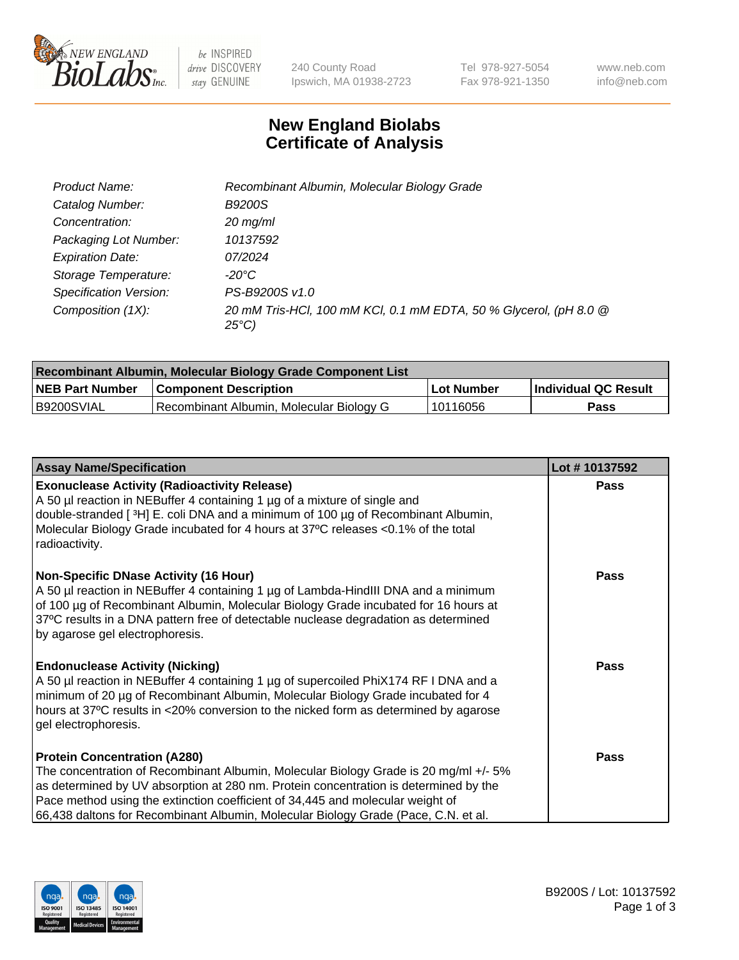

 $be$  INSPIRED drive DISCOVERY stay GENUINE

240 County Road Ipswich, MA 01938-2723 Tel 978-927-5054 Fax 978-921-1350 www.neb.com info@neb.com

## **New England Biolabs Certificate of Analysis**

| Product Name:           | Recombinant Albumin, Molecular Biology Grade                                         |
|-------------------------|--------------------------------------------------------------------------------------|
| Catalog Number:         | <b>B9200S</b>                                                                        |
| Concentration:          | $20$ mg/ml                                                                           |
| Packaging Lot Number:   | 10137592                                                                             |
| <b>Expiration Date:</b> | 07/2024                                                                              |
| Storage Temperature:    | -20°C                                                                                |
| Specification Version:  | PS-B9200S v1.0                                                                       |
| Composition (1X):       | 20 mM Tris-HCl, 100 mM KCl, 0.1 mM EDTA, 50 % Glycerol, (pH 8.0 @<br>$25^{\circ}$ C) |

| Recombinant Albumin, Molecular Biology Grade Component List |                                          |            |                      |  |
|-------------------------------------------------------------|------------------------------------------|------------|----------------------|--|
| <b>NEB Part Number</b>                                      | <b>Component Description</b>             | Lot Number | Individual QC Result |  |
| B9200SVIAL                                                  | Recombinant Albumin, Molecular Biology G | 10116056   | Pass                 |  |

| <b>Assay Name/Specification</b>                                                                                                                                                                                                                                                                                                                                                             | Lot #10137592 |
|---------------------------------------------------------------------------------------------------------------------------------------------------------------------------------------------------------------------------------------------------------------------------------------------------------------------------------------------------------------------------------------------|---------------|
| <b>Exonuclease Activity (Radioactivity Release)</b><br>A 50 µl reaction in NEBuffer 4 containing 1 µg of a mixture of single and<br>double-stranded [3H] E. coli DNA and a minimum of 100 μg of Recombinant Albumin,<br>Molecular Biology Grade incubated for 4 hours at 37°C releases <0.1% of the total<br>radioactivity.                                                                 | <b>Pass</b>   |
| <b>Non-Specific DNase Activity (16 Hour)</b><br>A 50 µl reaction in NEBuffer 4 containing 1 µg of Lambda-HindIII DNA and a minimum<br>of 100 µg of Recombinant Albumin, Molecular Biology Grade incubated for 16 hours at<br>37°C results in a DNA pattern free of detectable nuclease degradation as determined<br>by agarose gel electrophoresis.                                         | Pass          |
| <b>Endonuclease Activity (Nicking)</b><br>A 50 µl reaction in NEBuffer 4 containing 1 µg of supercoiled PhiX174 RF I DNA and a<br>minimum of 20 µg of Recombinant Albumin, Molecular Biology Grade incubated for 4<br>hours at 37°C results in <20% conversion to the nicked form as determined by agarose<br>gel electrophoresis.                                                          | Pass          |
| <b>Protein Concentration (A280)</b><br>The concentration of Recombinant Albumin, Molecular Biology Grade is 20 mg/ml +/- 5%<br>as determined by UV absorption at 280 nm. Protein concentration is determined by the<br>Pace method using the extinction coefficient of 34,445 and molecular weight of<br>66,438 daltons for Recombinant Albumin, Molecular Biology Grade (Pace, C.N. et al. | <b>Pass</b>   |

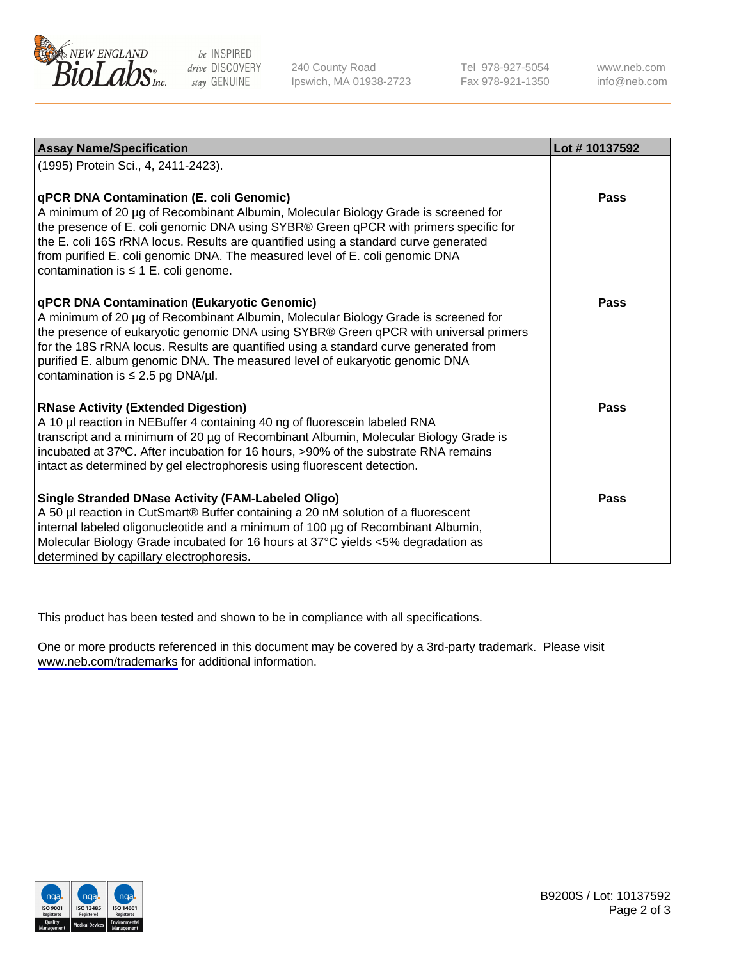

be INSPIRED drive DISCOVERY stay GENUINE

240 County Road Ipswich, MA 01938-2723 Tel 978-927-5054 Fax 978-921-1350

www.neb.com info@neb.com

| <b>Assay Name/Specification</b>                                                                                                                                                                                                                                                                                                                                                                                                            | Lot #10137592 |
|--------------------------------------------------------------------------------------------------------------------------------------------------------------------------------------------------------------------------------------------------------------------------------------------------------------------------------------------------------------------------------------------------------------------------------------------|---------------|
| (1995) Protein Sci., 4, 2411-2423).                                                                                                                                                                                                                                                                                                                                                                                                        |               |
| qPCR DNA Contamination (E. coli Genomic)<br>A minimum of 20 µg of Recombinant Albumin, Molecular Biology Grade is screened for<br>the presence of E. coli genomic DNA using SYBR® Green qPCR with primers specific for<br>the E. coli 16S rRNA locus. Results are quantified using a standard curve generated<br>from purified E. coli genomic DNA. The measured level of E. coli genomic DNA<br>contamination is $\leq$ 1 E. coli genome. | <b>Pass</b>   |
| qPCR DNA Contamination (Eukaryotic Genomic)<br>A minimum of 20 µg of Recombinant Albumin, Molecular Biology Grade is screened for<br>the presence of eukaryotic genomic DNA using SYBR® Green qPCR with universal primers<br>for the 18S rRNA locus. Results are quantified using a standard curve generated from<br>purified E. album genomic DNA. The measured level of eukaryotic genomic DNA<br>contamination is $\leq$ 2.5 pg DNA/µl. | <b>Pass</b>   |
| <b>RNase Activity (Extended Digestion)</b><br>A 10 µl reaction in NEBuffer 4 containing 40 ng of fluorescein labeled RNA<br>transcript and a minimum of 20 µg of Recombinant Albumin, Molecular Biology Grade is<br>incubated at 37°C. After incubation for 16 hours, >90% of the substrate RNA remains<br>intact as determined by gel electrophoresis using fluorescent detection.                                                        | <b>Pass</b>   |
| <b>Single Stranded DNase Activity (FAM-Labeled Oligo)</b><br>A 50 µl reaction in CutSmart® Buffer containing a 20 nM solution of a fluorescent<br>internal labeled oligonucleotide and a minimum of 100 µg of Recombinant Albumin,<br>Molecular Biology Grade incubated for 16 hours at 37°C yields <5% degradation as<br>determined by capillary electrophoresis.                                                                         | Pass          |

This product has been tested and shown to be in compliance with all specifications.

One or more products referenced in this document may be covered by a 3rd-party trademark. Please visit <www.neb.com/trademarks>for additional information.